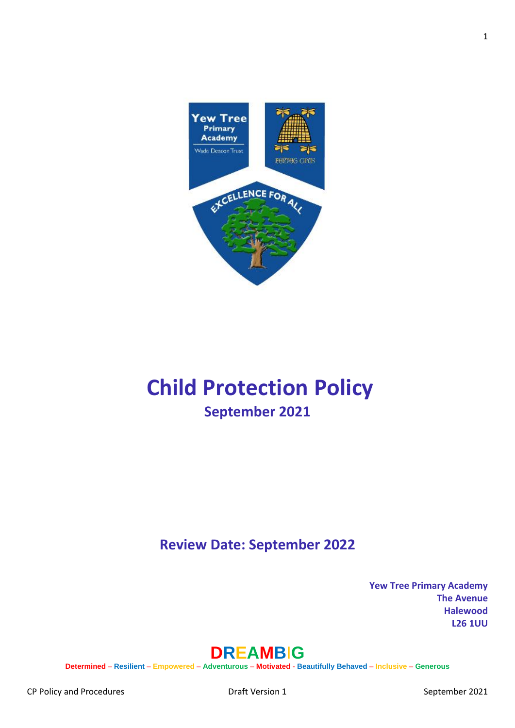

# **Child Protection Policy September 2021**

# **Review Date: September 2022**

**Yew Tree Primary Academy The Avenue Halewood L26 1UU** 

# **DREAMB**I**G**

**Determined** – **Resilient** – **Empowered** – **Adventurous** – **Motivated** - **Beautifully Behaved** – **Inclusive** – **Generous**

CP Policy and Procedures **CP** Policy and Procedures **Draft Version 1** September 2021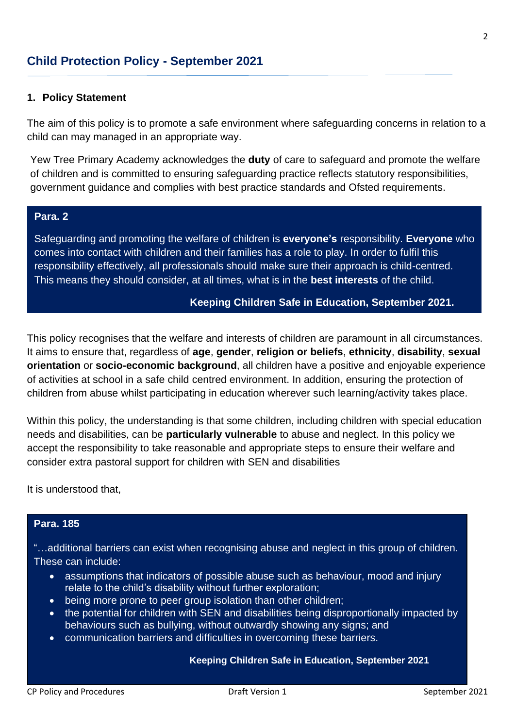#### **1. Policy Statement**

The aim of this policy is to promote a safe environment where safeguarding concerns in relation to a child can may managed in an appropriate way.

Yew Tree Primary Academy acknowledges the **duty** of care to safeguard and promote the welfare of children and is committed to ensuring safeguarding practice reflects statutory responsibilities, government guidance and complies with best practice standards and Ofsted requirements.

#### **Para. 2**

Safeguarding and promoting the welfare of children is **everyone's** responsibility. **Everyone** who comes into contact with children and their families has a role to play. In order to fulfil this responsibility effectively, all professionals should make sure their approach is child-centred. This means they should consider, at all times, what is in the **best interests** of the child.

## **Keeping Children Safe in Education, September 2021.**

This policy recognises that the welfare and interests of children are paramount in all circumstances. It aims to ensure that, regardless of **age**, **gender**, **religion or beliefs**, **ethnicity**, **disability**, **sexual orientation** or **socio-economic background**, all children have a positive and enjoyable experience of activities at school in a safe child centred environment. In addition, ensuring the protection of children from abuse whilst participating in education wherever such learning/activity takes place.

Within this policy, the understanding is that some children, including children with special education needs and disabilities, can be **particularly vulnerable** to abuse and neglect. In this policy we accept the responsibility to take reasonable and appropriate steps to ensure their welfare and consider extra pastoral support for children with SEN and disabilities

It is understood that,

# **Para. 185**

"…additional barriers can exist when recognising abuse and neglect in this group of children. These can include:

- assumptions that indicators of possible abuse such as behaviour, mood and injury relate to the child's disability without further exploration;
- being more prone to peer group isolation than other children;
- the potential for children with SEN and disabilities being disproportionally impacted by behaviours such as bullying, without outwardly showing any signs; and
- communication barriers and difficulties in overcoming these barriers.

#### **Keeping Children Safe in Education, September 2021**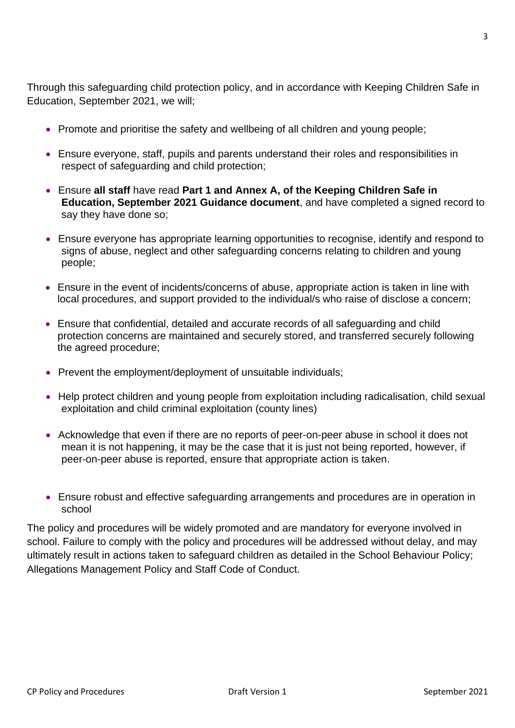Through this safeguarding child protection policy, and in accordance with Keeping Children Safe in Education, September 2021, we will;

- Promote and prioritise the safety and wellbeing of all children and young people;
- Ensure everyone, staff, pupils and parents understand their roles and responsibilities in respect of safeguarding and child protection;
- Ensure **all staff** have read **Part 1 and Annex A, of the Keeping Children Safe in Education, September 2021 Guidance document**, and have completed a signed record to say they have done so;
- Ensure everyone has appropriate learning opportunities to recognise, identify and respond to signs of abuse, neglect and other safeguarding concerns relating to children and young people;
- Ensure in the event of incidents/concerns of abuse, appropriate action is taken in line with local procedures, and support provided to the individual/s who raise of disclose a concern;
- Ensure that confidential, detailed and accurate records of all safeguarding and child protection concerns are maintained and securely stored, and transferred securely following the agreed procedure;
- Prevent the employment/deployment of unsuitable individuals;
- Help protect children and young people from exploitation including radicalisation, child sexual exploitation and child criminal exploitation (county lines)
- Acknowledge that even if there are no reports of peer-on-peer abuse in school it does not mean it is not happening, it may be the case that it is just not being reported, however, if peer-on-peer abuse is reported, ensure that appropriate action is taken.
- Ensure robust and effective safeguarding arrangements and procedures are in operation in school

The policy and procedures will be widely promoted and are mandatory for everyone involved in school. Failure to comply with the policy and procedures will be addressed without delay, and may ultimately result in actions taken to safeguard children as detailed in the School Behaviour Policy; Allegations Management Policy and Staff Code of Conduct.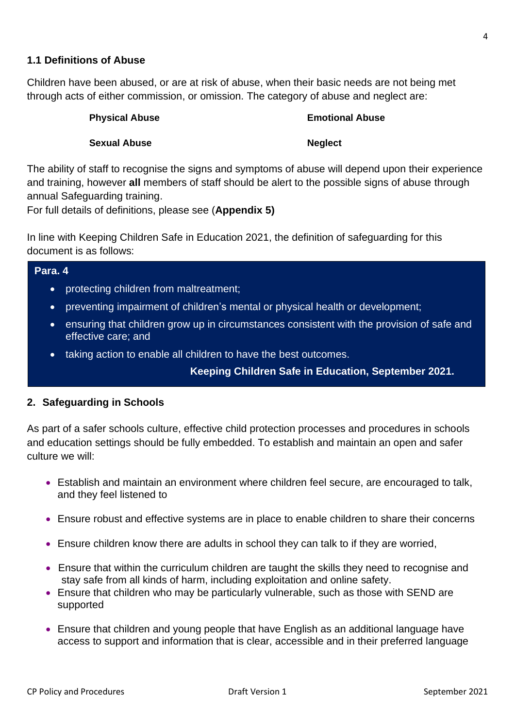#### **1.1 Definitions of Abuse**

Children have been abused, or are at risk of abuse, when their basic needs are not being met through acts of either commission, or omission. The category of abuse and neglect are:

#### **Physical Abuse Emotional Abuse**

**Sexual Abuse Neglect Neglect** 

The ability of staff to recognise the signs and symptoms of abuse will depend upon their experience and training, however **all** members of staff should be alert to the possible signs of abuse through annual Safeguarding training.

For full details of definitions, please see (**Appendix 5)**

In line with Keeping Children Safe in Education 2021, the definition of safeguarding for this document is as follows:

#### **Para. 4**

- protecting children from maltreatment;
- preventing impairment of children's mental or physical health or development;
- ensuring that children grow up in circumstances consistent with the provision of safe and effective care; and
- taking action to enable all children to have the best outcomes.

**Keeping Children Safe in Education, September 2021.**

#### **2. Safeguarding in Schools**

As part of a safer schools culture, effective child protection processes and procedures in schools and education settings should be fully embedded. To establish and maintain an open and safer culture we will:

- Establish and maintain an environment where children feel secure, are encouraged to talk, and they feel listened to
- Ensure robust and effective systems are in place to enable children to share their concerns
- Ensure children know there are adults in school they can talk to if they are worried,
- Ensure that within the curriculum children are taught the skills they need to recognise and stay safe from all kinds of harm, including exploitation and online safety.
- Ensure that children who may be particularly vulnerable, such as those with SEND are supported
- Ensure that children and young people that have English as an additional language have access to support and information that is clear, accessible and in their preferred language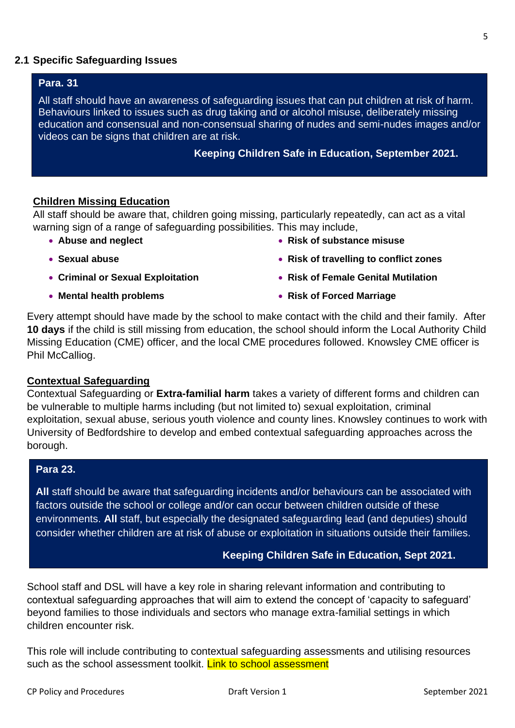# **2.1 Specific Safeguarding Issues**

#### **Para. 31**

All staff should have an awareness of safeguarding issues that can put children at risk of harm. Behaviours linked to issues such as drug taking and or alcohol misuse, deliberately missing education and consensual and non-consensual sharing of nudes and semi-nudes images and/or videos can be signs that children are at risk.

#### **Keeping Children Safe in Education, September 2021.**

#### **Children Missing Education**

All staff should be aware that, children going missing, particularly repeatedly, can act as a vital warning sign of a range of safeguarding possibilities. This may include,

• **Abuse and neglect**

• **Risk of substance misuse**

- **Sexual abuse**
- **Criminal or Sexual Exploitation**
- **Mental health problems**

• **Risk of Female Genital Mutilation**

• **Risk of travelling to conflict zones**

• **Risk of Forced Marriage**

Every attempt should have made by the school to make contact with the child and their family. After **10 days** if the child is still missing from education, the school should inform the Local Authority Child Missing Education (CME) officer, and the local CME procedures followed. Knowsley CME officer is Phil McCalliog.

#### **Contextual Safeguarding**

Contextual Safeguarding or **Extra-familial harm** takes a variety of different forms and children can be vulnerable to multiple harms including (but not limited to) sexual exploitation, criminal exploitation, sexual abuse, serious youth violence and county lines. Knowsley continues to work with University of Bedfordshire to develop and embed contextual safeguarding approaches across the borough.

## **Para 23.**

**All** staff should be aware that safeguarding incidents and/or behaviours can be associated with factors outside the school or college and/or can occur between children outside of these environments. **All** staff, but especially the designated safeguarding lead (and deputies) should consider whether children are at risk of abuse or exploitation in situations outside their families.

**Keeping Children Safe in Education, Sept 2021.**

School staff and DSL will have a key role in sharing relevant information and contributing to contextual safeguarding approaches that will aim to extend the concept of 'capacity to safeguard' beyond families to those individuals and sectors who manage extra-familial settings in which children encounter risk.

This role will include contributing to contextual safeguarding assessments and utilising resources such as the school assessment toolkit. Link to school assessment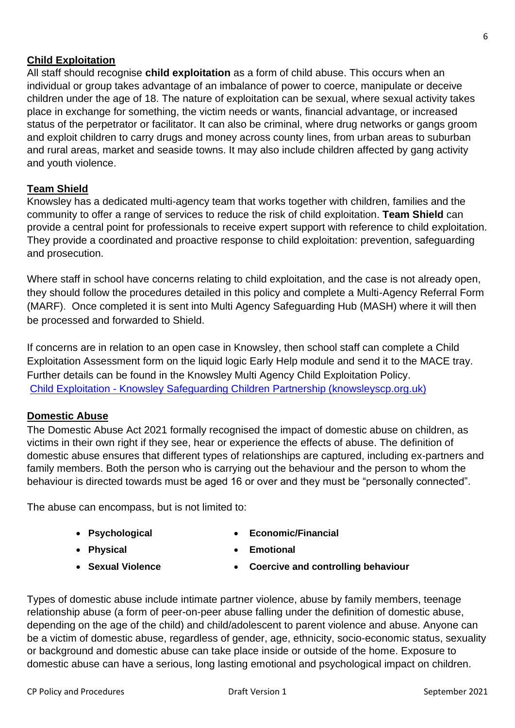## **Child Exploitation**

All staff should recognise **child exploitation** as a form of child abuse. This occurs when an individual or group takes advantage of an imbalance of power to coerce, manipulate or deceive children under the age of 18. The nature of exploitation can be sexual, where sexual activity takes place in exchange for something, the victim needs or wants, financial advantage, or increased status of the perpetrator or facilitator. It can also be criminal, where drug networks or gangs groom and exploit children to carry drugs and money across county lines, from urban areas to suburban and rural areas, market and seaside towns. It may also include children affected by gang activity and youth violence.

# **Team Shield**

Knowsley has a dedicated multi-agency team that works together with children, families and the community to offer a range of services to reduce the risk of child exploitation. **Team Shield** can provide a central point for professionals to receive expert support with reference to child exploitation. They provide a coordinated and proactive response to child exploitation: prevention, safeguarding and prosecution.

Where staff in school have concerns relating to child exploitation, and the case is not already open, they should follow the procedures detailed in this policy and complete a Multi-Agency Referral Form (MARF). Once completed it is sent into Multi Agency Safeguarding Hub (MASH) where it will then be processed and forwarded to Shield.

If concerns are in relation to an open case in Knowsley, then school staff can complete a Child Exploitation Assessment form on the liquid logic Early Help module and send it to the MACE tray. Further details can be found in the Knowsley Multi Agency Child Exploitation Policy. Child Exploitation - [Knowsley Safeguarding Children Partnership \(knowsleyscp.org.uk\)](https://www.knowsleyscp.org.uk/professionals/child-sexual-exploitation/)

# **Domestic Abuse**

The Domestic Abuse Act 2021 formally recognised the impact of domestic abuse on children, as victims in their own right if they see, hear or experience the effects of abuse. The definition of domestic abuse ensures that different types of relationships are captured, including ex-partners and family members. Both the person who is carrying out the behaviour and the person to whom the behaviour is directed towards must be aged 16 or over and they must be "personally connected".

The abuse can encompass, but is not limited to:

• **Psychological**

• **Economic/Financial**

• **Physical**

- **Emotional**
- **Sexual Violence**
- **Coercive and controlling behaviour**

Types of domestic abuse include intimate partner violence, abuse by family members, teenage relationship abuse (a form of peer-on-peer abuse falling under the definition of domestic abuse, depending on the age of the child) and child/adolescent to parent violence and abuse. Anyone can be a victim of domestic abuse, regardless of gender, age, ethnicity, socio-economic status, sexuality or background and domestic abuse can take place inside or outside of the home. Exposure to domestic abuse can have a serious, long lasting emotional and psychological impact on children.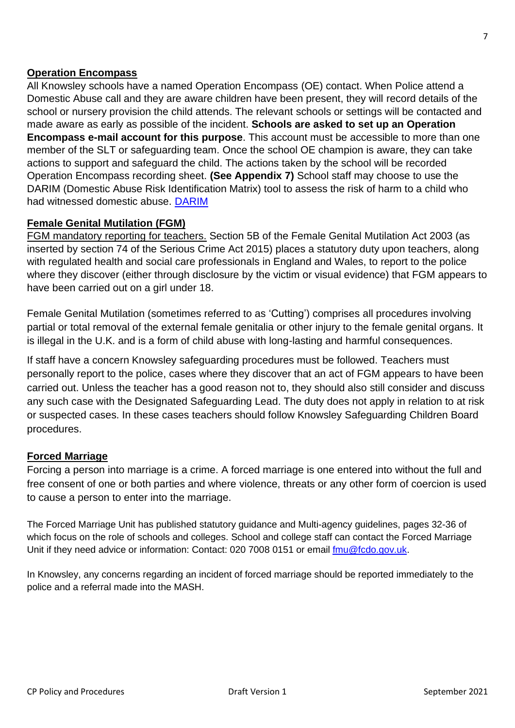#### **Operation Encompass**

All Knowsley schools have a named Operation Encompass (OE) contact. When Police attend a Domestic Abuse call and they are aware children have been present, they will record details of the school or nursery provision the child attends. The relevant schools or settings will be contacted and made aware as early as possible of the incident. **Schools are asked to set up an Operation Encompass e-mail account for this purpose**. This account must be accessible to more than one member of the SLT or safeguarding team. Once the school OE champion is aware, they can take actions to support and safeguard the child. The actions taken by the school will be recorded Operation Encompass recording sheet. **(See Appendix 7)** School staff may choose to use the DARIM (Domestic Abuse Risk Identification Matrix) tool to assess the risk of harm to a child who had witnessed domestic abuse. [DARIM](https://www.knowsleyscp.org.uk/wp-content/uploads/2017/06/DARIM-2.pdf)

# **Female Genital Mutilation (FGM)**

FGM mandatory reporting for teachers. Section 5B of the Female Genital Mutilation Act 2003 (as inserted by section 74 of the Serious Crime Act 2015) places a statutory duty upon teachers, along with regulated health and social care professionals in England and Wales, to report to the police where they discover (either through disclosure by the victim or visual evidence) that FGM appears to have been carried out on a girl under 18.

Female Genital Mutilation (sometimes referred to as 'Cutting') comprises all procedures involving partial or total removal of the external female genitalia or other injury to the female genital organs. It is illegal in the U.K. and is a form of child abuse with long-lasting and harmful consequences.

If staff have a concern Knowsley safeguarding procedures must be followed. Teachers must personally report to the police, cases where they discover that an act of FGM appears to have been carried out. Unless the teacher has a good reason not to, they should also still consider and discuss any such case with the Designated Safeguarding Lead. The duty does not apply in relation to at risk or suspected cases. In these cases teachers should follow Knowsley Safeguarding Children Board procedures.

#### **Forced Marriage**

Forcing a person into marriage is a crime. A forced marriage is one entered into without the full and free consent of one or both parties and where violence, threats or any other form of coercion is used to cause a person to enter into the marriage.

The Forced Marriage Unit has published statutory guidance and Multi-agency guidelines, pages 32-36 of which focus on the role of schools and colleges. School and college staff can contact the Forced Marriage Unit if they need advice or information: Contact: 020 7008 0151 or email [fmu@fcdo.gov.uk.](mailto:fmu@fcdo.gov.uk)

In Knowsley, any concerns regarding an incident of forced marriage should be reported immediately to the police and a referral made into the MASH.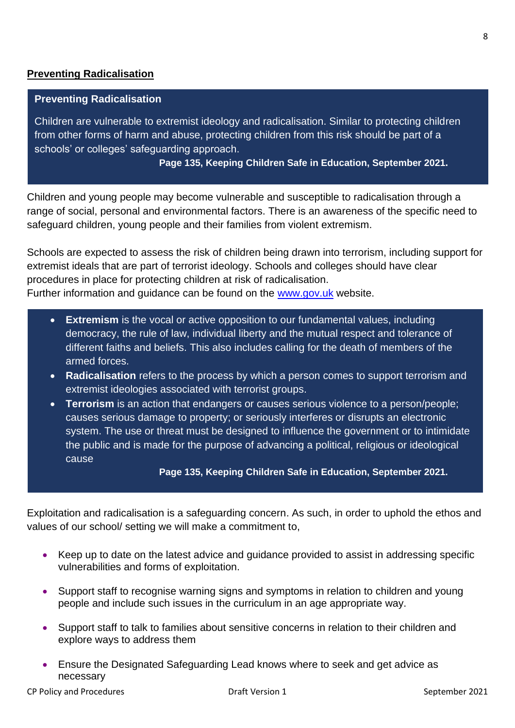# **Preventing Radicalisation**

#### **Preventing Radicalisation**

Children are vulnerable to extremist ideology and radicalisation. Similar to protecting children from other forms of harm and abuse, protecting children from this risk should be part of a schools' or colleges' safeguarding approach.

#### **Page 135, Keeping Children Safe in Education, September 2021.**

Children and young people may become vulnerable and susceptible to radicalisation through a range of social, personal and environmental factors. There is an awareness of the specific need to safeguard children, young people and their families from violent extremism.

Schools are expected to assess the risk of children being drawn into terrorism, including support for extremist ideals that are part of terrorist ideology. Schools and colleges should have clear procedures in place for protecting children at risk of radicalisation.

Further information and quidance can be found on the [www.gov.uk](http://www.gov.uk/) website.

- **Extremism** is the vocal or active opposition to our fundamental values, including democracy, the rule of law, individual liberty and the mutual respect and tolerance of different faiths and beliefs. This also includes calling for the death of members of the armed forces.
- **Radicalisation** refers to the process by which a person comes to support terrorism and extremist ideologies associated with terrorist groups.
- **Terrorism** is an action that endangers or causes serious violence to a person/people; causes serious damage to property; or seriously interferes or disrupts an electronic system. The use or threat must be designed to influence the government or to intimidate the public and is made for the purpose of advancing a political, religious or ideological cause

**Page 135, Keeping Children Safe in Education, September 2021.**

Exploitation and radicalisation is a safeguarding concern. As such, in order to uphold the ethos and values of our school/ setting we will make a commitment to,

- Keep up to date on the latest advice and guidance provided to assist in addressing specific vulnerabilities and forms of exploitation.
- Support staff to recognise warning signs and symptoms in relation to children and young people and include such issues in the curriculum in an age appropriate way.
- Support staff to talk to families about sensitive concerns in relation to their children and explore ways to address them
- Ensure the Designated Safeguarding Lead knows where to seek and get advice as necessary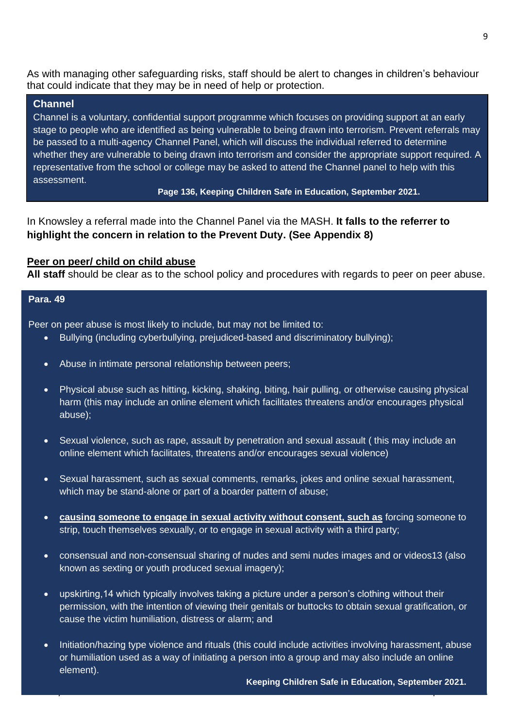As with managing other safeguarding risks, staff should be alert to changes in children's behaviour that could indicate that they may be in need of help or protection.

#### **Channel**

Channel is a voluntary, confidential support programme which focuses on providing support at an early stage to people who are identified as being vulnerable to being drawn into terrorism. Prevent referrals may be passed to a multi-agency Channel Panel, which will discuss the individual referred to determine whether they are vulnerable to being drawn into terrorism and consider the appropriate support required. A representative from the school or college may be asked to attend the Channel panel to help with this assessment.

**Page 136, Keeping Children Safe in Education, September 2021.**

In Knowsley a referral made into the Channel Panel via the MASH. **It falls to the referrer to highlight the concern in relation to the Prevent Duty. (See Appendix 8)**

#### **Peer on peer/ child on child abuse**

**All staff** should be clear as to the school policy and procedures with regards to peer on peer abuse.

## **Para. 49**

Peer on peer abuse is most likely to include, but may not be limited to:

- Bullying (including cyberbullying, prejudiced-based and discriminatory bullying);
- Abuse in intimate personal relationship between peers;
- Physical abuse such as hitting, kicking, shaking, biting, hair pulling, or otherwise causing physical harm (this may include an online element which facilitates threatens and/or encourages physical abuse);
- Sexual violence, such as rape, assault by penetration and sexual assault ( this may include an online element which facilitates, threatens and/or encourages sexual violence)
- Sexual harassment, such as sexual comments, remarks, jokes and online sexual harassment, which may be stand-alone or part of a boarder pattern of abuse;
- **causing someone to engage in sexual activity without consent, such as** forcing someone to strip, touch themselves sexually, or to engage in sexual activity with a third party;
- consensual and non-consensual sharing of nudes and semi nudes images and or videos13 (also known as sexting or youth produced sexual imagery);
- upskirting,14 which typically involves taking a picture under a person's clothing without their permission, with the intention of viewing their genitals or buttocks to obtain sexual gratification, or cause the victim humiliation, distress or alarm; and
- Initiation/hazing type violence and rituals (this could include activities involving harassment, abuse or humiliation used as a way of initiating a person into a group and may also include an online element).

CP Policy and Procedures Draft Version 1 September 2021 **Keeping Children Safe in Education, September 2021.**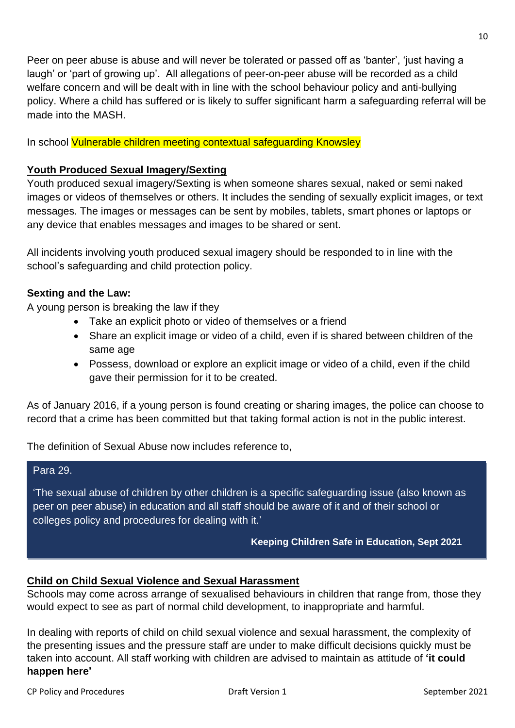Peer on peer abuse is abuse and will never be tolerated or passed off as 'banter', 'just having a laugh' or 'part of growing up'. All allegations of peer-on-peer abuse will be recorded as a child welfare concern and will be dealt with in line with the school behaviour policy and anti-bullying policy. Where a child has suffered or is likely to suffer significant harm a safeguarding referral will be made into the MASH.

In school Vulnerable children meeting contextual safeguarding Knowsley

# **Youth Produced Sexual Imagery/Sexting**

Youth produced sexual imagery/Sexting is when someone shares sexual, naked or semi naked images or videos of themselves or others. It includes the sending of sexually explicit images, or text messages. The images or messages can be sent by mobiles, tablets, smart phones or laptops or any device that enables messages and images to be shared or sent.

All incidents involving youth produced sexual imagery should be responded to in line with the school's safeguarding and child protection policy.

# **Sexting and the Law:**

A young person is breaking the law if they

- Take an explicit photo or video of themselves or a friend
- Share an explicit image or video of a child, even if is shared between children of the same age
- Possess, download or explore an explicit image or video of a child, even if the child gave their permission for it to be created.

As of January 2016, if a young person is found creating or sharing images, the police can choose to record that a crime has been committed but that taking formal action is not in the public interest.

The definition of Sexual Abuse now includes reference to,

# Para 29.

'The sexual abuse of children by other children is a specific safeguarding issue (also known as peer on peer abuse) in education and all staff should be aware of it and of their school or colleges policy and procedures for dealing with it.'

**Keeping Children Safe in Education, Sept 2021**

# **Child on Child Sexual Violence and Sexual Harassment**

Schools may come across arrange of sexualised behaviours in children that range from, those they would expect to see as part of normal child development, to inappropriate and harmful.

In dealing with reports of child on child sexual violence and sexual harassment, the complexity of the presenting issues and the pressure staff are under to make difficult decisions quickly must be taken into account. All staff working with children are advised to maintain as attitude of **'it could happen here'**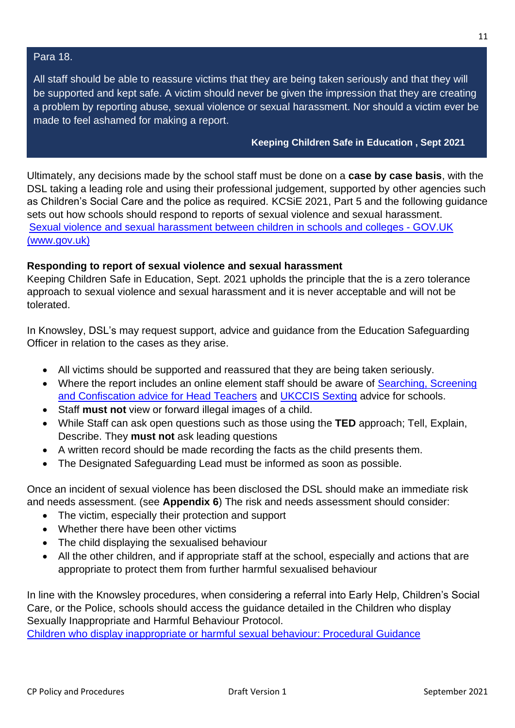#### Para 18.

All staff should be able to reassure victims that they are being taken seriously and that they will be supported and kept safe. A victim should never be given the impression that they are creating a problem by reporting abuse, sexual violence or sexual harassment. Nor should a victim ever be made to feel ashamed for making a report.

#### **Keeping Children Safe in Education , Sept 2021**

Ultimately, any decisions made by the school staff must be done on a **case by case basis**, with the DSL taking a leading role and using their professional judgement, supported by other agencies such as Children's Social Care and the police as required. KCSiE 2021, Part 5 and the following guidance sets out how schools should respond to reports of sexual violence and sexual harassment. Sexual violence and sexual [harassment between children in schools and colleges -](https://www.gov.uk/government/publications/sexual-violence-and-sexual-harassment-between-children-in-schools-and-colleges) GOV.UK [\(www.gov.uk\)](https://www.gov.uk/government/publications/sexual-violence-and-sexual-harassment-between-children-in-schools-and-colleges)

#### **Responding to report of sexual violence and sexual harassment**

Keeping Children Safe in Education, Sept. 2021 upholds the principle that the is a zero tolerance approach to sexual violence and sexual harassment and it is never acceptable and will not be tolerated.

In Knowsley, DSL's may request support, advice and guidance from the Education Safeguarding Officer in relation to the cases as they arise.

- All victims should be supported and reassured that they are being taken seriously.
- Where the report includes an online element staff should be aware of Searching, Screening [and Confiscation advice for Head Teachers](https://assets.publishing.service.gov.uk/government/uploads/system/uploads/attachment_data/file/674416/Searching_screening_and_confiscation.pdf) and [UKCCIS Sexting](https://www.gov.uk/government/publications/sexting-in-schools-and-colleges) advice for schools.
- Staff **must not** view or forward illegal images of a child.
- While Staff can ask open questions such as those using the **TED** approach; Tell, Explain, Describe. They **must not** ask leading questions
- A written record should be made recording the facts as the child presents them.
- The Designated Safeguarding Lead must be informed as soon as possible.

Once an incident of sexual violence has been disclosed the DSL should make an immediate risk and needs assessment. (see **Appendix 6**) The risk and needs assessment should consider:

- The victim, especially their protection and support
- Whether there have been other victims
- The child displaying the sexualised behaviour
- All the other children, and if appropriate staff at the school, especially and actions that are appropriate to protect them from further harmful sexualised behaviour

In line with the Knowsley procedures, when considering a referral into Early Help, Children's Social Care, or the Police, schools should access the guidance detailed in the Children who display Sexually Inappropriate and Harmful Behaviour Protocol.

[Children who display inappropriate or harmful sexual behaviour: Procedural Guidance](https://knowsleyscb.proceduresonline.com/files/harmful_sex_behav.pdf?zoom_highlight=sexual+harmful+behaviour#search=%22sexual%20harmful%20behaviour%22)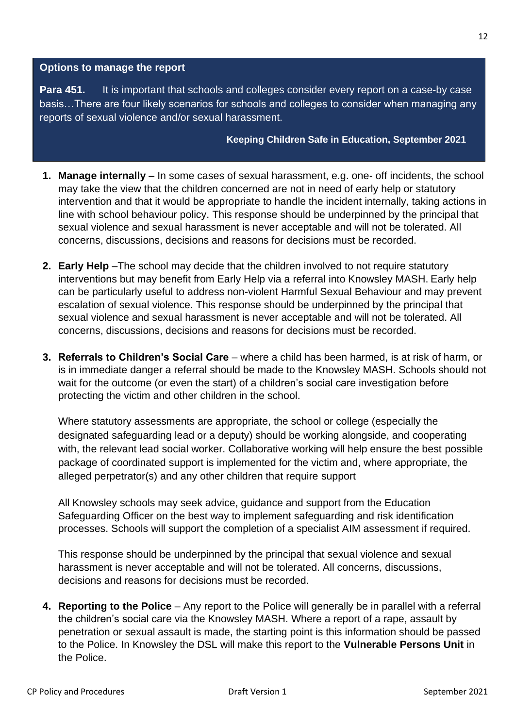#### **Options to manage the report**

**Para 451.** It is important that schools and colleges consider every report on a case-by case basis…There are four likely scenarios for schools and colleges to consider when managing any reports of sexual violence and/or sexual harassment.

## **Keeping Children Safe in Education, September 2021**

- **1. Manage internally** In some cases of sexual harassment, e.g. one- off incidents, the school may take the view that the children concerned are not in need of early help or statutory intervention and that it would be appropriate to handle the incident internally, taking actions in line with school behaviour policy. This response should be underpinned by the principal that sexual violence and sexual harassment is never acceptable and will not be tolerated. All concerns, discussions, decisions and reasons for decisions must be recorded.
- **2. Early Help** –The school may decide that the children involved to not require statutory interventions but may benefit from Early Help via a referral into Knowsley MASH. Early help can be particularly useful to address non-violent Harmful Sexual Behaviour and may prevent escalation of sexual violence. This response should be underpinned by the principal that sexual violence and sexual harassment is never acceptable and will not be tolerated. All concerns, discussions, decisions and reasons for decisions must be recorded.
- **3. Referrals to Children's Social Care** where a child has been harmed, is at risk of harm, or is in immediate danger a referral should be made to the Knowsley MASH. Schools should not wait for the outcome (or even the start) of a children's social care investigation before protecting the victim and other children in the school.

Where statutory assessments are appropriate, the school or college (especially the designated safeguarding lead or a deputy) should be working alongside, and cooperating with, the relevant lead social worker. Collaborative working will help ensure the best possible package of coordinated support is implemented for the victim and, where appropriate, the alleged perpetrator(s) and any other children that require support

All Knowsley schools may seek advice, guidance and support from the Education Safeguarding Officer on the best way to implement safeguarding and risk identification processes. Schools will support the completion of a specialist AIM assessment if required.

This response should be underpinned by the principal that sexual violence and sexual harassment is never acceptable and will not be tolerated. All concerns, discussions, decisions and reasons for decisions must be recorded.

**4. Reporting to the Police** – Any report to the Police will generally be in parallel with a referral the children's social care via the Knowsley MASH. Where a report of a rape, assault by penetration or sexual assault is made, the starting point is this information should be passed to the Police. In Knowsley the DSL will make this report to the **Vulnerable Persons Unit** in the Police.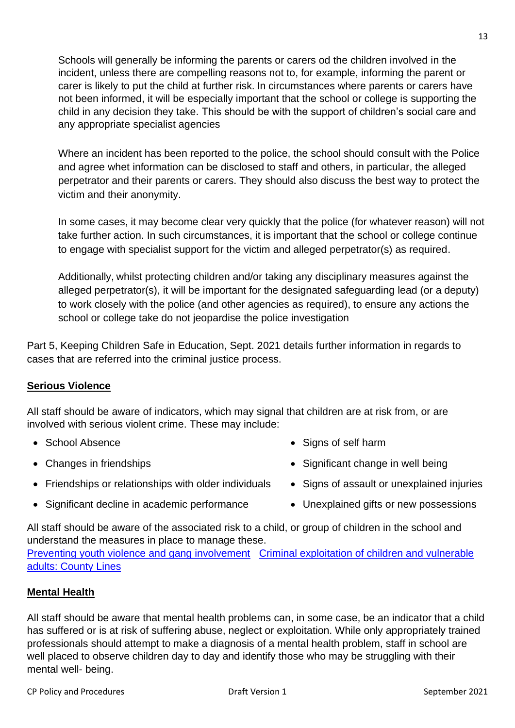Schools will generally be informing the parents or carers od the children involved in the incident, unless there are compelling reasons not to, for example, informing the parent or carer is likely to put the child at further risk. In circumstances where parents or carers have not been informed, it will be especially important that the school or college is supporting the child in any decision they take. This should be with the support of children's social care and any appropriate specialist agencies

Where an incident has been reported to the police, the school should consult with the Police and agree whet information can be disclosed to staff and others, in particular, the alleged perpetrator and their parents or carers. They should also discuss the best way to protect the victim and their anonymity.

In some cases, it may become clear very quickly that the police (for whatever reason) will not take further action. In such circumstances, it is important that the school or college continue to engage with specialist support for the victim and alleged perpetrator(s) as required.

Additionally, whilst protecting children and/or taking any disciplinary measures against the alleged perpetrator(s), it will be important for the designated safeguarding lead (or a deputy) to work closely with the police (and other agencies as required), to ensure any actions the school or college take do not jeopardise the police investigation

Part 5, Keeping Children Safe in Education, Sept. 2021 details further information in regards to cases that are referred into the criminal justice process.

# **Serious Violence**

All staff should be aware of indicators, which may signal that children are at risk from, or are involved with serious violent crime. These may include:

- School Absence
- Changes in friendships
- Friendships or relationships with older individuals
- Significant decline in academic performance
- Signs of self harm
- Significant change in well being
- Signs of assault or unexplained injuries
- Unexplained gifts or new possessions

All staff should be aware of the associated risk to a child, or group of children in the school and understand the measures in place to manage these. [Preventing youth violence and gang involvement](https://www.gov.uk/government/publications/advice-to-schools-and-colleges-on-gangs-and-youth-violence) [Criminal exploitation of children and vulnerable](https://www.gov.uk/government/publications/criminal-exploitation-of-children-and-vulnerable-adults-county-lines)  [adults: County](https://www.gov.uk/government/publications/criminal-exploitation-of-children-and-vulnerable-adults-county-lines) Lines

# **Mental Health**

All staff should be aware that mental health problems can, in some case, be an indicator that a child has suffered or is at risk of suffering abuse, neglect or exploitation. While only appropriately trained professionals should attempt to make a diagnosis of a mental health problem, staff in school are well placed to observe children day to day and identify those who may be struggling with their mental well- being.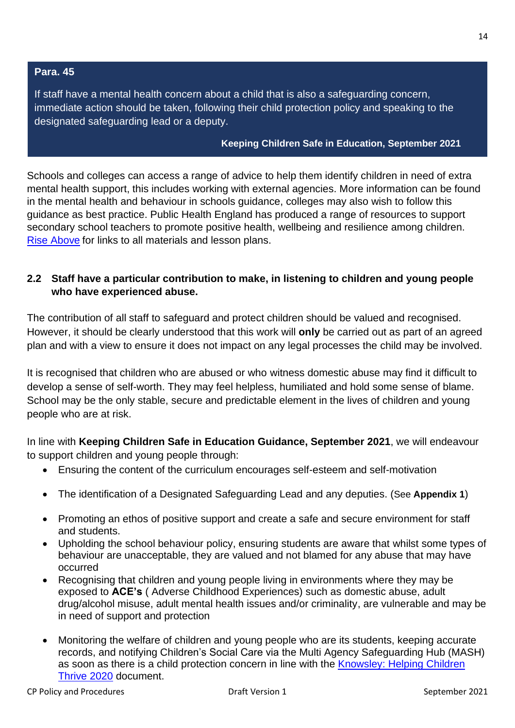#### **Para. 45**

If staff have a mental health concern about a child that is also a safeguarding concern, immediate action should be taken, following their child protection policy and speaking to the designated safeguarding lead or a deputy.

#### **Keeping Children Safe in Education, September 2021**

Schools and colleges can access a range of advice to help them identify children in need of extra mental health support, this includes working with external agencies. More information can be found in the mental health and behaviour in schools guidance, colleges may also wish to follow this guidance as best practice. Public Health England has produced a range of resources to support secondary school teachers to promote positive health, wellbeing and resilience among children. [Rise Above](https://riseabove.org.uk/) for links to all materials and lesson plans.

# **2.2 Staff have a particular contribution to make, in listening to children and young people who have experienced abuse.**

The contribution of all staff to safeguard and protect children should be valued and recognised. However, it should be clearly understood that this work will **only** be carried out as part of an agreed plan and with a view to ensure it does not impact on any legal processes the child may be involved.

It is recognised that children who are abused or who witness domestic abuse may find it difficult to develop a sense of self-worth. They may feel helpless, humiliated and hold some sense of blame. School may be the only stable, secure and predictable element in the lives of children and young people who are at risk.

In line with **Keeping Children Safe in Education Guidance, September 2021**, we will endeavour to support children and young people through:

- Ensuring the content of the curriculum encourages self-esteem and self-motivation
- The identification of a Designated Safeguarding Lead and any deputies. (See **Appendix 1**)
- Promoting an ethos of positive support and create a safe and secure environment for staff and students.
- Upholding the school behaviour policy, ensuring students are aware that whilst some types of behaviour are unacceptable, they are valued and not blamed for any abuse that may have occurred
- Recognising that children and young people living in environments where they may be exposed to **ACE's** ( Adverse Childhood Experiences) such as domestic abuse, adult drug/alcohol misuse, adult mental health issues and/or criminality, are vulnerable and may be in need of support and protection
- Monitoring the welfare of children and young people who are its students, keeping accurate records, and notifying Children's Social Care via the Multi Agency Safeguarding Hub (MASH) as soon as there is a child protection concern in line with the [Knowsley: Helping Children](https://www.knowsleyscp.org.uk/wp-content/uploads/2020/01/Helping-Children-Thrive-Knowsley.pdf)  [Thrive 2020](https://www.knowsleyscp.org.uk/wp-content/uploads/2020/01/Helping-Children-Thrive-Knowsley.pdf) document.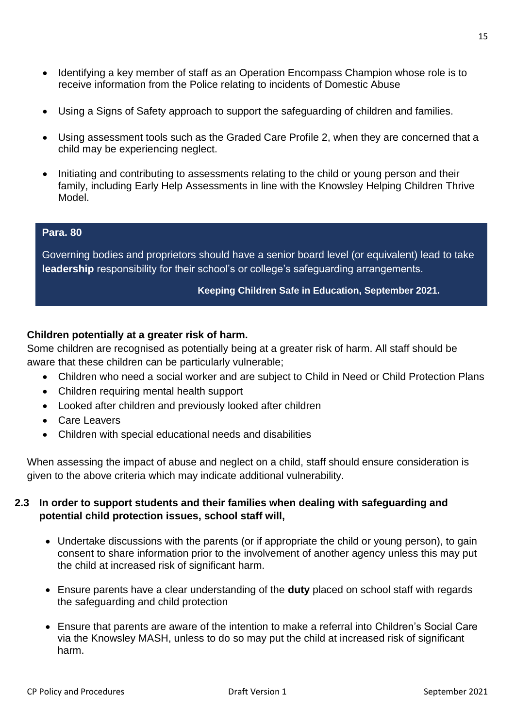- Identifying a key member of staff as an Operation Encompass Champion whose role is to receive information from the Police relating to incidents of Domestic Abuse
- Using a Signs of Safety approach to support the safeguarding of children and families.
- Using assessment tools such as the Graded Care Profile 2, when they are concerned that a child may be experiencing neglect.
- Initiating and contributing to assessments relating to the child or young person and their family, including Early Help Assessments in line with the Knowsley Helping Children Thrive Model.

# **Para. 80**

Governing bodies and proprietors should have a senior board level (or equivalent) lead to take **leadership** responsibility for their school's or college's safeguarding arrangements.

#### **Keeping Children Safe in Education, September 2021.**

# **Children potentially at a greater risk of harm.**

Some children are recognised as potentially being at a greater risk of harm. All staff should be aware that these children can be particularly vulnerable;

- Children who need a social worker and are subject to Child in Need or Child Protection Plans
- Children requiring mental health support
- Looked after children and previously looked after children
- Care Leavers
- Children with special educational needs and disabilities

When assessing the impact of abuse and neglect on a child, staff should ensure consideration is given to the above criteria which may indicate additional vulnerability.

# **2.3 In order to support students and their families when dealing with safeguarding and potential child protection issues, school staff will,**

- Undertake discussions with the parents (or if appropriate the child or young person), to gain consent to share information prior to the involvement of another agency unless this may put the child at increased risk of significant harm.
- Ensure parents have a clear understanding of the **duty** placed on school staff with regards the safeguarding and child protection
- Ensure that parents are aware of the intention to make a referral into Children's Social Care via the Knowsley MASH, unless to do so may put the child at increased risk of significant harm.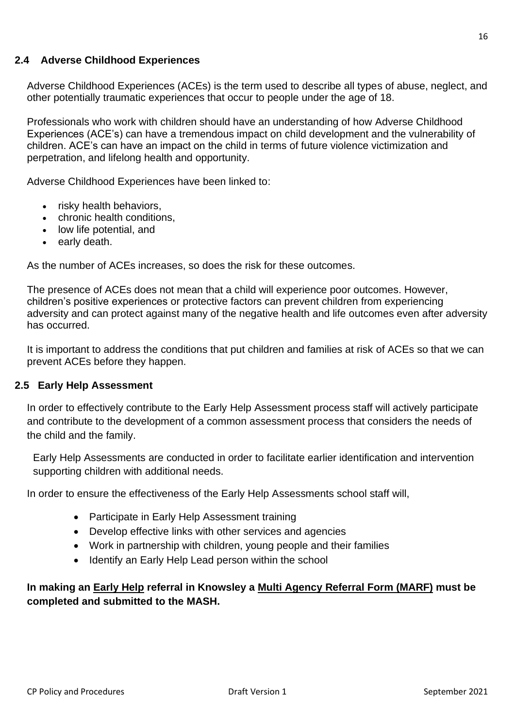# **2.4 Adverse Childhood Experiences**

Adverse Childhood Experiences (ACEs) is the term used to describe all types of abuse, neglect, and other potentially traumatic experiences that occur to people under the age of 18.

Professionals who work with children should have an understanding of how Adverse Childhood Experiences (ACE's) can have a tremendous impact on child development and the vulnerability of children. ACE's can have an impact on the child in terms of future violence victimization and perpetration, and lifelong health and opportunity.

Adverse Childhood Experiences have been linked to:

- risky health behaviors.
- chronic health conditions,
- low life potential, and
- early death.

As the number of ACEs increases, so does the risk for these outcomes.

The presence of ACEs does not mean that a child will experience poor outcomes. However, children's positive experiences or protective factors can prevent children from experiencing adversity and can protect against many of the negative health and life outcomes even after adversity has occurred.

It is important to address the conditions that put children and families at risk of ACEs so that we can prevent ACEs before they happen.

#### **2.5 Early Help Assessment**

In order to effectively contribute to the Early Help Assessment process staff will actively participate and contribute to the development of a common assessment process that considers the needs of the child and the family.

Early Help Assessments are conducted in order to facilitate earlier identification and intervention supporting children with additional needs.

In order to ensure the effectiveness of the Early Help Assessments school staff will,

- Participate in Early Help Assessment training
- Develop effective links with other services and agencies
- Work in partnership with children, young people and their families
- Identify an Early Help Lead person within the school

# **In making an Early Help referral in Knowsley a Multi Agency Referral Form (MARF) must be completed and submitted to the MASH.**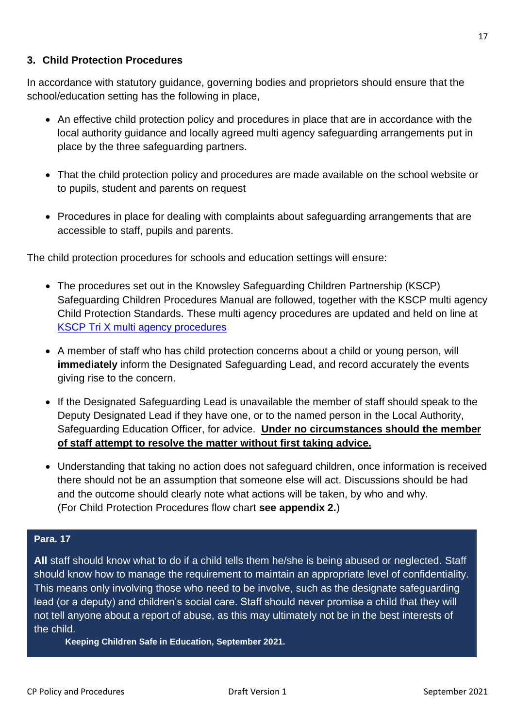## **3. Child Protection Procedures**

In accordance with statutory guidance, governing bodies and proprietors should ensure that the school/education setting has the following in place,

- An effective child protection policy and procedures in place that are in accordance with the local authority guidance and locally agreed multi agency safeguarding arrangements put in place by the three safeguarding partners.
- That the child protection policy and procedures are made available on the school website or to pupils, student and parents on request
- Procedures in place for dealing with complaints about safeguarding arrangements that are accessible to staff, pupils and parents.

The child protection procedures for schools and education settings will ensure:

- The procedures set out in the Knowsley Safeguarding Children Partnership (KSCP) Safeguarding Children Procedures Manual are followed, together with the KSCP multi agency Child Protection Standards. These multi agency procedures are updated and held on line at [KSCP Tri X multi agency procedures](https://www.knowsleyscp.org.uk/professionals/multi-agency-procedures/)
- A member of staff who has child protection concerns about a child or young person, will **immediately** inform the Designated Safeguarding Lead, and record accurately the events giving rise to the concern.
- If the Designated Safeguarding Lead is unavailable the member of staff should speak to the Deputy Designated Lead if they have one, or to the named person in the Local Authority, Safeguarding Education Officer, for advice. **Under no circumstances should the member of staff attempt to resolve the matter without first taking advice.**
- Understanding that taking no action does not safeguard children, once information is received there should not be an assumption that someone else will act. Discussions should be had and the outcome should clearly note what actions will be taken, by who and why. (For Child Protection Procedures flow chart **see appendix 2.**)

#### **Para. 17**

**All** staff should know what to do if a child tells them he/she is being abused or neglected. Staff should know how to manage the requirement to maintain an appropriate level of confidentiality. This means only involving those who need to be involve, such as the designate safeguarding lead (or a deputy) and children's social care. Staff should never promise a child that they will not tell anyone about a report of abuse, as this may ultimately not be in the best interests of the child.

**Keeping Children Safe in Education, September 2021.**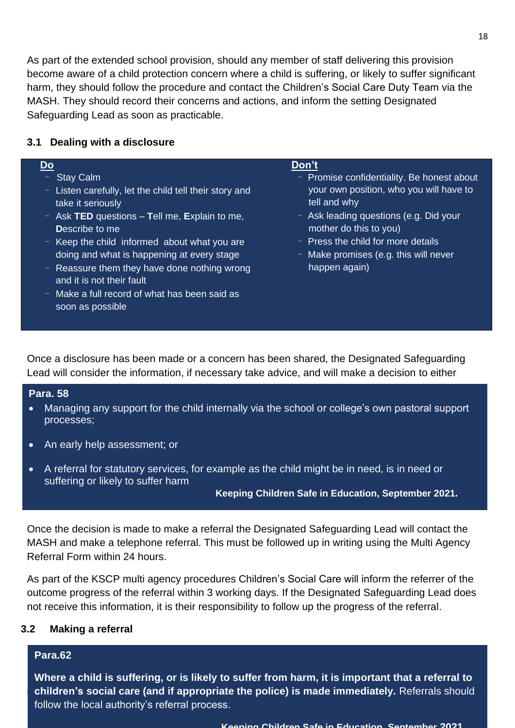As part of the extended school provision, should any member of staff delivering this provision become aware of a child protection concern where a child is suffering, or likely to suffer significant harm, they should follow the procedure and contact the Children's Social Care Duty Team via the MASH. They should record their concerns and actions, and inform the setting Designated Safeguarding Lead as soon as practicable.

#### **3.1 Dealing with a disclosure**

#### **Do** - Stay Calm

- Listen carefully, let the child tell their story and take it seriously
- Ask **TED** questions **T**ell me, **E**xplain to me, **Describe to me**
- Keep the child informed about what you are doing and what is happening at every stage
- Reassure them they have done nothing wrong and it is not their fault
- Make a full record of what has been said as soon as possible

#### **Don't**

- Promise confidentiality. Be honest about your own position, who you will have to tell and why
- Ask leading questions (e.g. Did your mother do this to you)
- Press the child for more details
- Make promises (e.g. this will never happen again)

Once a disclosure has been made or a concern has been shared, the Designated Safeguarding Lead will consider the information, if necessary take advice, and will make a decision to either

#### **Para. 58**

- Managing any support for the child internally via the school or college's own pastoral support processes;
- An early help assessment; or
- A referral for statutory services, for example as the child might be in need, is in need or suffering or likely to suffer harm

**Keeping Children Safe in Education, September 2021.**

Once the decision is made to make a referral the Designated Safeguarding Lead will contact the MASH and make a telephone referral. This must be followed up in writing using the Multi Agency Referral Form within 24 hours.

As part of the KSCP multi agency procedures Children's Social Care will inform the referrer of the outcome progress of the referral within 3 working days. If the Designated Safeguarding Lead does not receive this information, it is their responsibility to follow up the progress of the referral.

# **3.2 Making a referral**

#### **Para.62**

**children's social care (and if appropriate the police) is made immediately.** Referrals should **Where a child is suffering, or is likely to suffer from harm, it is important that a referral to** follow the local authority's referral process.

**Keeping Children Safe in Education, September 2021.**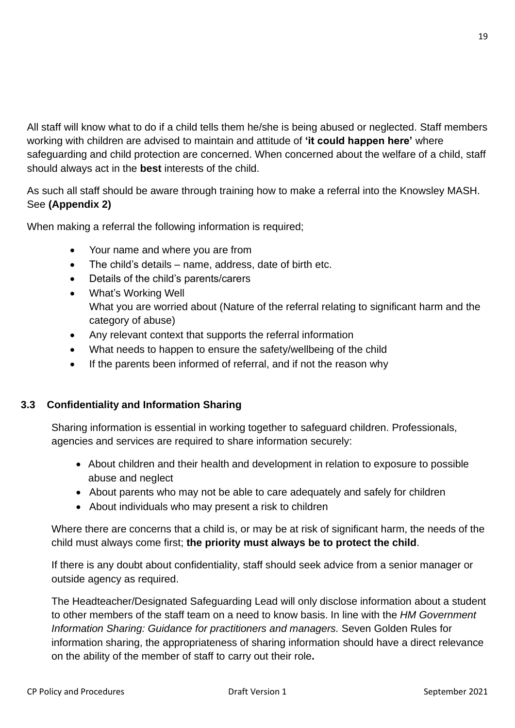All staff will know what to do if a child tells them he/she is being abused or neglected. Staff members working with children are advised to maintain and attitude of **'it could happen here'** where safeguarding and child protection are concerned. When concerned about the welfare of a child, staff should always act in the **best** interests of the child.

As such all staff should be aware through training how to make a referral into the Knowsley MASH. See **(Appendix 2)**

When making a referral the following information is required;

- Your name and where you are from
- The child's details name, address, date of birth etc.
- Details of the child's parents/carers
- What's Working Well What you are worried about (Nature of the referral relating to significant harm and the category of abuse)
- Any relevant context that supports the referral information
- What needs to happen to ensure the safety/wellbeing of the child
- If the parents been informed of referral, and if not the reason why

# **3.3 Confidentiality and Information Sharing**

Sharing information is essential in working together to safeguard children. Professionals, agencies and services are required to share information securely:

- About children and their health and development in relation to exposure to possible abuse and neglect
- About parents who may not be able to care adequately and safely for children
- About individuals who may present a risk to children

Where there are concerns that a child is, or may be at risk of significant harm, the needs of the child must always come first; **the priority must always be to protect the child**.

If there is any doubt about confidentiality, staff should seek advice from a senior manager or outside agency as required.

The Headteacher/Designated Safeguarding Lead will only disclose information about a student to other members of the staff team on a need to know basis. In line with the *HM Government Information Sharing: Guidance for practitioners and managers.* Seven Golden Rules for information sharing, the appropriateness of sharing information should have a direct relevance on the ability of the member of staff to carry out their role**.**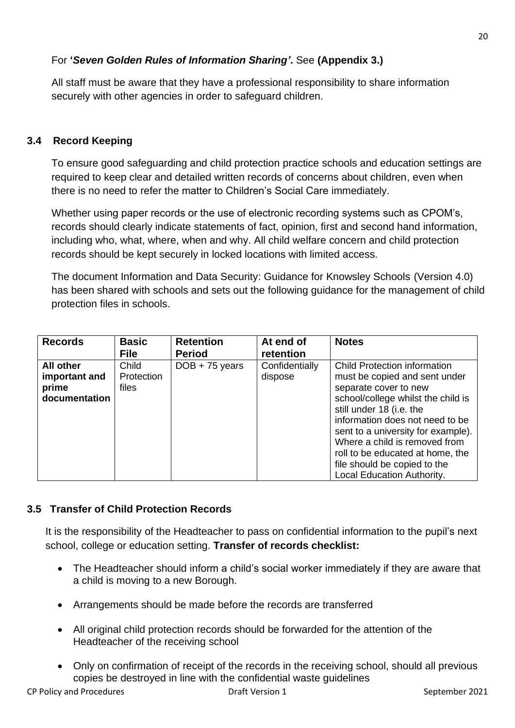# For **'***Seven Golden Rules of Information Sharing'***.** See **(Appendix 3.)**

All staff must be aware that they have a professional responsibility to share information securely with other agencies in order to safeguard children.

# **3.4 Record Keeping**

To ensure good safeguarding and child protection practice schools and education settings are required to keep clear and detailed written records of concerns about children, even when there is no need to refer the matter to Children's Social Care immediately.

Whether using paper records or the use of electronic recording systems such as CPOM's, records should clearly indicate statements of fact, opinion, first and second hand information, including who, what, where, when and why. All child welfare concern and child protection records should be kept securely in locked locations with limited access.

The document Information and Data Security: Guidance for Knowsley Schools (Version 4.0) has been shared with schools and sets out the following guidance for the management of child protection files in schools.

| <b>Records</b>                                              | <b>Basic</b><br><b>File</b>  | <b>Retention</b><br><b>Period</b> | At end of<br>retention    | <b>Notes</b>                                                                                                                                                                                                                                                                                                                                                                |
|-------------------------------------------------------------|------------------------------|-----------------------------------|---------------------------|-----------------------------------------------------------------------------------------------------------------------------------------------------------------------------------------------------------------------------------------------------------------------------------------------------------------------------------------------------------------------------|
| <b>All other</b><br>important and<br>prime<br>documentation | Child<br>Protection<br>files | $DOB + 75$ years                  | Confidentially<br>dispose | <b>Child Protection information</b><br>must be copied and sent under<br>separate cover to new<br>school/college whilst the child is<br>still under 18 (i.e. the<br>information does not need to be<br>sent to a university for example).<br>Where a child is removed from<br>roll to be educated at home, the<br>file should be copied to the<br>Local Education Authority. |

# **3.5 Transfer of Child Protection Records**

It is the responsibility of the Headteacher to pass on confidential information to the pupil's next school, college or education setting. **Transfer of records checklist:**

- The Headteacher should inform a child's social worker immediately if they are aware that a child is moving to a new Borough.
- Arrangements should be made before the records are transferred
- All original child protection records should be forwarded for the attention of the Headteacher of the receiving school
- Only on confirmation of receipt of the records in the receiving school, should all previous copies be destroyed in line with the confidential waste guidelines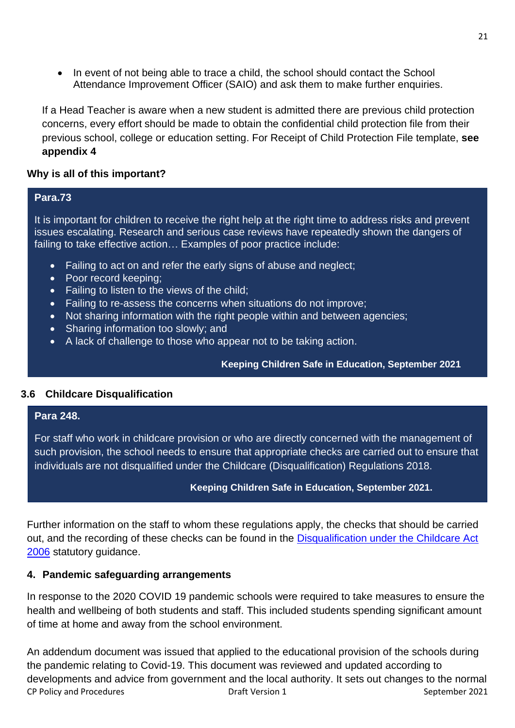• In event of not being able to trace a child, the school should contact the School Attendance Improvement Officer (SAIO) and ask them to make further enquiries.

If a Head Teacher is aware when a new student is admitted there are previous child protection concerns, every effort should be made to obtain the confidential child protection file from their previous school, college or education setting. For Receipt of Child Protection File template, **see appendix 4**

# **Why is all of this important?**

# **Para.73**

It is important for children to receive the right help at the right time to address risks and prevent issues escalating. Research and serious case reviews have repeatedly shown the dangers of failing to take effective action… Examples of poor practice include:

- Failing to act on and refer the early signs of abuse and neglect;
- Poor record keeping;
- Failing to listen to the views of the child;
- Failing to re-assess the concerns when situations do not improve;
- Not sharing information with the right people within and between agencies;
- Sharing information too slowly; and
- A lack of challenge to those who appear not to be taking action.

**Keeping Children Safe in Education, September 2021**

# **3.6 Childcare Disqualification**

# **Para 248.**

For staff who work in childcare provision or who are directly concerned with the management of such provision, the school needs to ensure that appropriate checks are carried out to ensure that individuals are not disqualified under the Childcare (Disqualification) Regulations 2018.

**Keeping Children Safe in Education, September 2021.**

Further information on the staff to whom these regulations apply, the checks that should be carried out, and the recording of these checks can be found in the [Disqualification under the Childcare Act](https://www.gov.uk/government/publications/disqualification-under-the-childcare-act-2006/disqualification-under-the-childcare-act-2006)  [2006](https://www.gov.uk/government/publications/disqualification-under-the-childcare-act-2006/disqualification-under-the-childcare-act-2006) statutory guidance.

# **4. Pandemic safeguarding arrangements**

In response to the 2020 COVID 19 pandemic schools were required to take measures to ensure the health and wellbeing of both students and staff. This included students spending significant amount of time at home and away from the school environment.

CP Policy and Procedures **CP Policy and Procedures** Draft Version 1 September 2021 An addendum document was issued that applied to the educational provision of the schools during the pandemic relating to Covid-19. This document was reviewed and updated according to developments and advice from government and the local authority. It sets out changes to the normal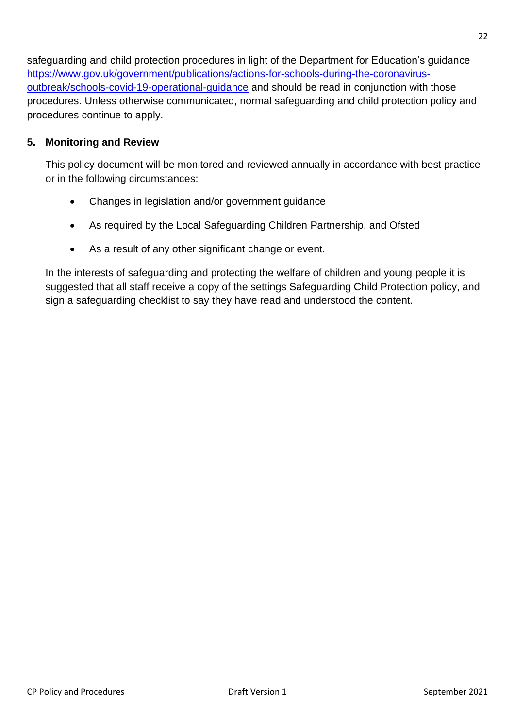safeguarding and child protection procedures in light of the Department for Education's guidance [https://www.gov.uk/government/publications/actions-for-schools-during-the-coronavirus](https://www.gov.uk/government/publications/actions-for-schools-during-the-coronavirus-outbreak/schools-covid-19-operational-guidance)[outbreak/schools-covid-19-operational-guidance](https://www.gov.uk/government/publications/actions-for-schools-during-the-coronavirus-outbreak/schools-covid-19-operational-guidance) and should be read in conjunction with those procedures. Unless otherwise communicated, normal safeguarding and child protection policy and procedures continue to apply.

# **5. Monitoring and Review**

This policy document will be monitored and reviewed annually in accordance with best practice or in the following circumstances:

- Changes in legislation and/or government guidance
- As required by the Local Safeguarding Children Partnership, and Ofsted
- As a result of any other significant change or event.

In the interests of safeguarding and protecting the welfare of children and young people it is suggested that all staff receive a copy of the settings Safeguarding Child Protection policy, and sign a safeguarding checklist to say they have read and understood the content.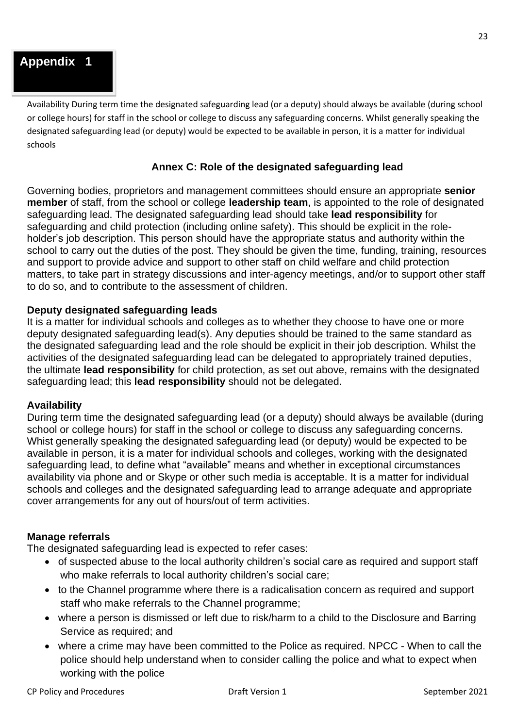# **Appendix 1**

Availability During term time the designated safeguarding lead (or a deputy) should always be available (during school or college hours) for staff in the school or college to discuss any safeguarding concerns. Whilst generally speaking the designated safeguarding lead (or deputy) would be expected to be available in person, it is a matter for individual schools

# **Annex C: Role of the designated safeguarding lead**

Governing bodies, proprietors and management committees should ensure an appropriate **senior member** of staff, from the school or college **leadership team**, is appointed to the role of designated safeguarding lead. The designated safeguarding lead should take **lead responsibility** for safeguarding and child protection (including online safety). This should be explicit in the roleholder's job description. This person should have the appropriate status and authority within the school to carry out the duties of the post. They should be given the time, funding, training, resources and support to provide advice and support to other staff on child welfare and child protection matters, to take part in strategy discussions and inter-agency meetings, and/or to support other staff to do so, and to contribute to the assessment of children.

# **Deputy designated safeguarding leads**

It is a matter for individual schools and colleges as to whether they choose to have one or more deputy designated safeguarding lead(s). Any deputies should be trained to the same standard as the designated safeguarding lead and the role should be explicit in their job description. Whilst the activities of the designated safeguarding lead can be delegated to appropriately trained deputies, the ultimate **lead responsibility** for child protection, as set out above, remains with the designated safeguarding lead; this **lead responsibility** should not be delegated.

#### **Availability**

During term time the designated safeguarding lead (or a deputy) should always be available (during school or college hours) for staff in the school or college to discuss any safeguarding concerns. Whist generally speaking the designated safeguarding lead (or deputy) would be expected to be available in person, it is a mater for individual schools and colleges, working with the designated safeguarding lead, to define what "available" means and whether in exceptional circumstances availability via phone and or Skype or other such media is acceptable. It is a matter for individual schools and colleges and the designated safeguarding lead to arrange adequate and appropriate cover arrangements for any out of hours/out of term activities.

#### **Manage referrals**

The designated safeguarding lead is expected to refer cases:

- of suspected abuse to the local authority children's social care as required and support staff who make referrals to local authority children's social care;
- to the Channel programme where there is a radicalisation concern as required and support staff who make referrals to the Channel programme;
- where a person is dismissed or left due to risk/harm to a child to the Disclosure and Barring Service as required; and
- where a crime may have been committed to the Police as required. NPCC When to call the police should help understand when to consider calling the police and what to expect when working with the police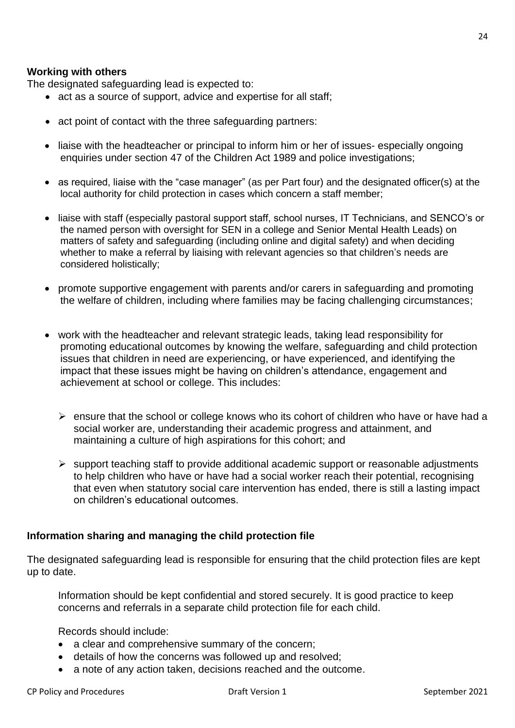#### **Working with others**

The designated safeguarding lead is expected to:

- act as a source of support, advice and expertise for all staff;
- act point of contact with the three safeguarding partners:
- liaise with the headteacher or principal to inform him or her of issues-especially ongoing enquiries under section 47 of the Children Act 1989 and police investigations;
- as required, liaise with the "case manager" (as per Part four) and the designated officer(s) at the local authority for child protection in cases which concern a staff member;
- liaise with staff (especially pastoral support staff, school nurses, IT Technicians, and SENCO's or the named person with oversight for SEN in a college and Senior Mental Health Leads) on matters of safety and safeguarding (including online and digital safety) and when deciding whether to make a referral by liaising with relevant agencies so that children's needs are considered holistically;
- promote supportive engagement with parents and/or carers in safeguarding and promoting the welfare of children, including where families may be facing challenging circumstances;
- work with the headteacher and relevant strategic leads, taking lead responsibility for promoting educational outcomes by knowing the welfare, safeguarding and child protection issues that children in need are experiencing, or have experienced, and identifying the impact that these issues might be having on children's attendance, engagement and achievement at school or college. This includes:
	- ➢ ensure that the school or college knows who its cohort of children who have or have had a social worker are, understanding their academic progress and attainment, and maintaining a culture of high aspirations for this cohort; and
	- $\triangleright$  support teaching staff to provide additional academic support or reasonable adjustments to help children who have or have had a social worker reach their potential, recognising that even when statutory social care intervention has ended, there is still a lasting impact on children's educational outcomes.

#### **Information sharing and managing the child protection file**

The designated safeguarding lead is responsible for ensuring that the child protection files are kept up to date.

Information should be kept confidential and stored securely. It is good practice to keep concerns and referrals in a separate child protection file for each child.

Records should include:

- a clear and comprehensive summary of the concern;
- details of how the concerns was followed up and resolved;
- a note of any action taken, decisions reached and the outcome.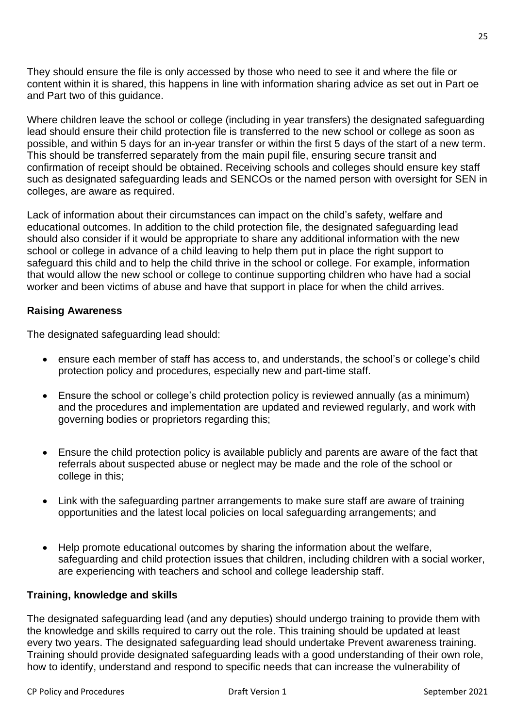They should ensure the file is only accessed by those who need to see it and where the file or content within it is shared, this happens in line with information sharing advice as set out in Part oe and Part two of this guidance.

Where children leave the school or college (including in year transfers) the designated safeguarding lead should ensure their child protection file is transferred to the new school or college as soon as possible, and within 5 days for an in-year transfer or within the first 5 days of the start of a new term. This should be transferred separately from the main pupil file, ensuring secure transit and confirmation of receipt should be obtained. Receiving schools and colleges should ensure key staff such as designated safeguarding leads and SENCOs or the named person with oversight for SEN in colleges, are aware as required.

Lack of information about their circumstances can impact on the child's safety, welfare and educational outcomes. In addition to the child protection file, the designated safeguarding lead should also consider if it would be appropriate to share any additional information with the new school or college in advance of a child leaving to help them put in place the right support to safeguard this child and to help the child thrive in the school or college. For example, information that would allow the new school or college to continue supporting children who have had a social worker and been victims of abuse and have that support in place for when the child arrives.

# **Raising Awareness**

The designated safeguarding lead should:

- ensure each member of staff has access to, and understands, the school's or college's child protection policy and procedures, especially new and part-time staff.
- Ensure the school or college's child protection policy is reviewed annually (as a minimum) and the procedures and implementation are updated and reviewed regularly, and work with governing bodies or proprietors regarding this;
- Ensure the child protection policy is available publicly and parents are aware of the fact that referrals about suspected abuse or neglect may be made and the role of the school or college in this;
- Link with the safeguarding partner arrangements to make sure staff are aware of training opportunities and the latest local policies on local safeguarding arrangements; and
- Help promote educational outcomes by sharing the information about the welfare, safeguarding and child protection issues that children, including children with a social worker, are experiencing with teachers and school and college leadership staff.

# **Training, knowledge and skills**

The designated safeguarding lead (and any deputies) should undergo training to provide them with the knowledge and skills required to carry out the role. This training should be updated at least every two years. The designated safeguarding lead should undertake Prevent awareness training. Training should provide designated safeguarding leads with a good understanding of their own role, how to identify, understand and respond to specific needs that can increase the vulnerability of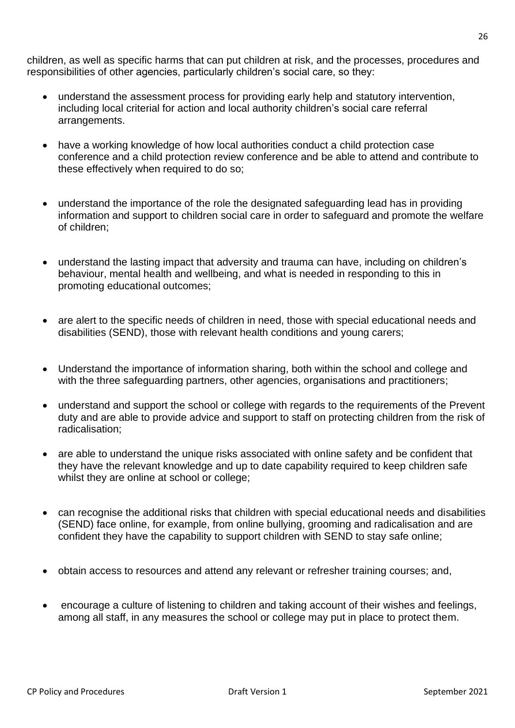children, as well as specific harms that can put children at risk, and the processes, procedures and responsibilities of other agencies, particularly children's social care, so they:

- understand the assessment process for providing early help and statutory intervention, including local criterial for action and local authority children's social care referral arrangements.
- have a working knowledge of how local authorities conduct a child protection case conference and a child protection review conference and be able to attend and contribute to these effectively when required to do so;
- understand the importance of the role the designated safeguarding lead has in providing information and support to children social care in order to safeguard and promote the welfare of children;
- understand the lasting impact that adversity and trauma can have, including on children's behaviour, mental health and wellbeing, and what is needed in responding to this in promoting educational outcomes;
- are alert to the specific needs of children in need, those with special educational needs and disabilities (SEND), those with relevant health conditions and young carers;
- Understand the importance of information sharing, both within the school and college and with the three safeguarding partners, other agencies, organisations and practitioners;
- understand and support the school or college with regards to the requirements of the Prevent duty and are able to provide advice and support to staff on protecting children from the risk of radicalisation;
- are able to understand the unique risks associated with online safety and be confident that they have the relevant knowledge and up to date capability required to keep children safe whilst they are online at school or college:
- can recognise the additional risks that children with special educational needs and disabilities (SEND) face online, for example, from online bullying, grooming and radicalisation and are confident they have the capability to support children with SEND to stay safe online;
- obtain access to resources and attend any relevant or refresher training courses; and,
- encourage a culture of listening to children and taking account of their wishes and feelings, among all staff, in any measures the school or college may put in place to protect them.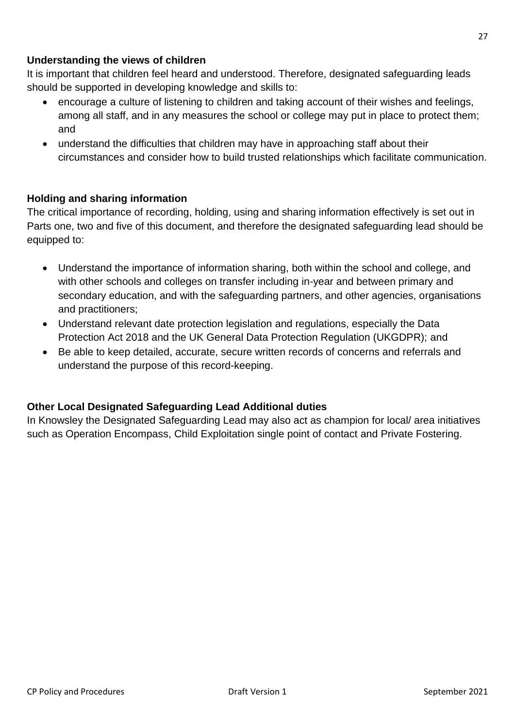# **Understanding the views of children**

It is important that children feel heard and understood. Therefore, designated safeguarding leads should be supported in developing knowledge and skills to:

- encourage a culture of listening to children and taking account of their wishes and feelings, among all staff, and in any measures the school or college may put in place to protect them; and
- understand the difficulties that children may have in approaching staff about their circumstances and consider how to build trusted relationships which facilitate communication.

# **Holding and sharing information**

The critical importance of recording, holding, using and sharing information effectively is set out in Parts one, two and five of this document, and therefore the designated safeguarding lead should be equipped to:

- Understand the importance of information sharing, both within the school and college, and with other schools and colleges on transfer including in-year and between primary and secondary education, and with the safeguarding partners, and other agencies, organisations and practitioners;
- Understand relevant date protection legislation and regulations, especially the Data Protection Act 2018 and the UK General Data Protection Regulation (UKGDPR); and
- Be able to keep detailed, accurate, secure written records of concerns and referrals and understand the purpose of this record-keeping.

# **Other Local Designated Safeguarding Lead Additional duties**

In Knowsley the Designated Safeguarding Lead may also act as champion for local/ area initiatives such as Operation Encompass, Child Exploitation single point of contact and Private Fostering.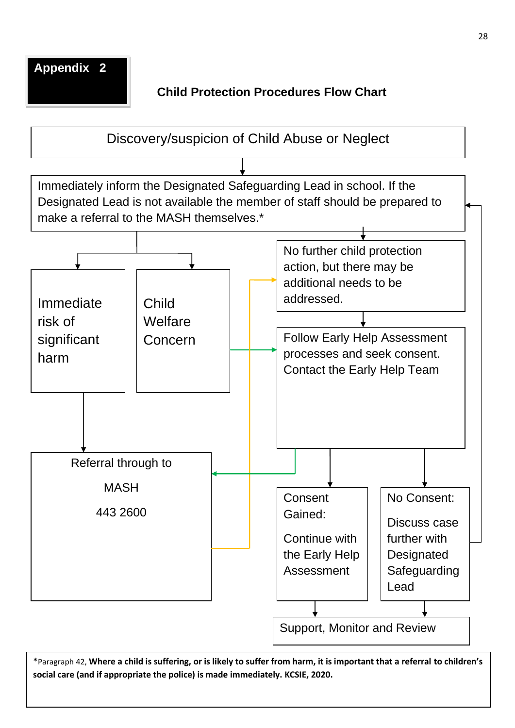# **Child Protection Procedures Flow Chart**



\*Paragraph 42, **Where a child is suffering, or is likely to suffer from harm, it is important that a referral to children's social care (and if appropriate the police) is made immediately. KCSIE, 2020.**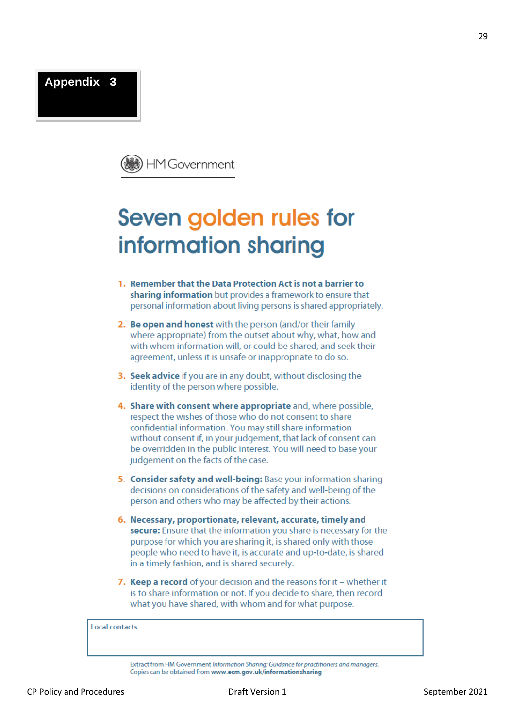**Appendix 3** 



# Seven golden rules for information sharing

- 1. Remember that the Data Protection Act is not a barrier to sharing information but provides a framework to ensure that personal information about living persons is shared appropriately.
- 2. Be open and honest with the person (and/or their family where appropriate) from the outset about why, what, how and with whom information will, or could be shared, and seek their agreement, unless it is unsafe or inappropriate to do so.
- 3. Seek advice if you are in any doubt, without disclosing the identity of the person where possible.
- 4. Share with consent where appropriate and, where possible, respect the wishes of those who do not consent to share confidential information. You may still share information without consent if, in your judgement, that lack of consent can be overridden in the public interest. You will need to base your judgement on the facts of the case.
- 5. Consider safety and well-being: Base your information sharing decisions on considerations of the safety and well-being of the person and others who may be affected by their actions.
- 6. Necessary, proportionate, relevant, accurate, timely and secure: Ensure that the information you share is necessary for the purpose for which you are sharing it, is shared only with those people who need to have it, is accurate and up-to-date, is shared in a timely fashion, and is shared securely.
- 7. Keep a record of your decision and the reasons for it whether it is to share information or not. If you decide to share, then record what you have shared, with whom and for what purpose.

**Local contacts** 

Extract from HM Government Information Sharing: Guidance for practitioners and managers. Copies can be obtained from www.ecm.gov.uk/informationsharing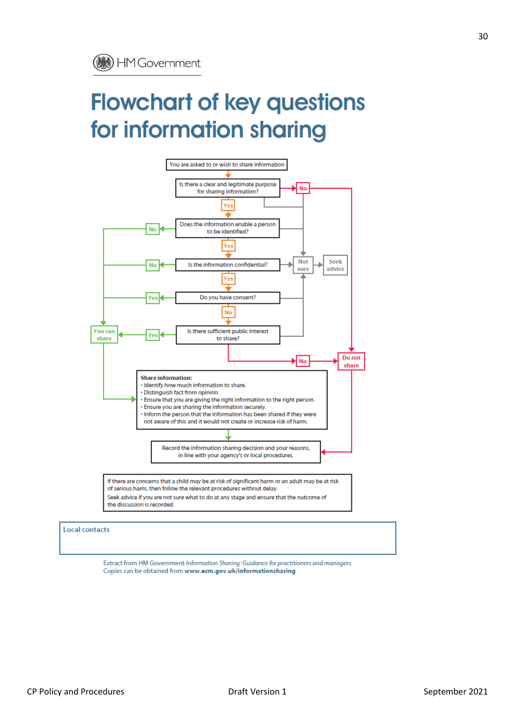# **Flowchart of key questions** for information sharing



Extract from HM Government Information Sharing: Guidance for practitioners and managers. Copies can be obtained from www.ecm.gov.uk/informationsharing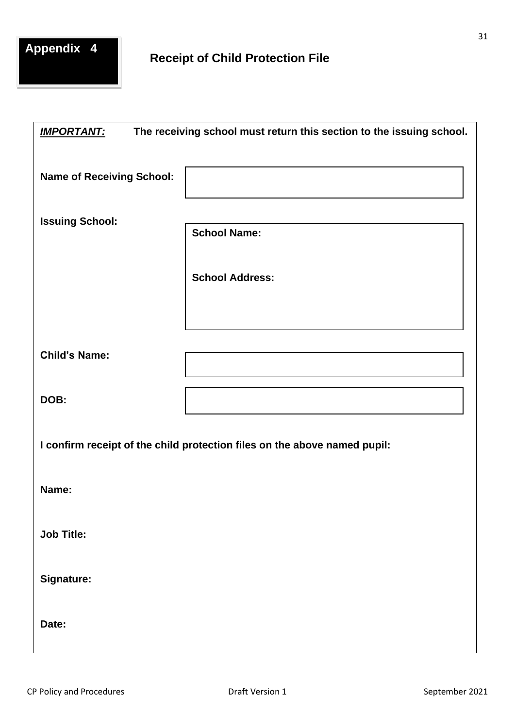# **Receipt of Child Protection File**

| <u>IMPORTANT:</u>                | The receiving school must return this section to the issuing school.      |
|----------------------------------|---------------------------------------------------------------------------|
| <b>Name of Receiving School:</b> |                                                                           |
| <b>Issuing School:</b>           | <b>School Name:</b>                                                       |
|                                  | <b>School Address:</b>                                                    |
|                                  |                                                                           |
| <b>Child's Name:</b>             |                                                                           |
| DOB:                             |                                                                           |
|                                  | I confirm receipt of the child protection files on the above named pupil: |
| Name:                            |                                                                           |
| <b>Job Title:</b>                |                                                                           |
| Signature:                       |                                                                           |
| Date:                            |                                                                           |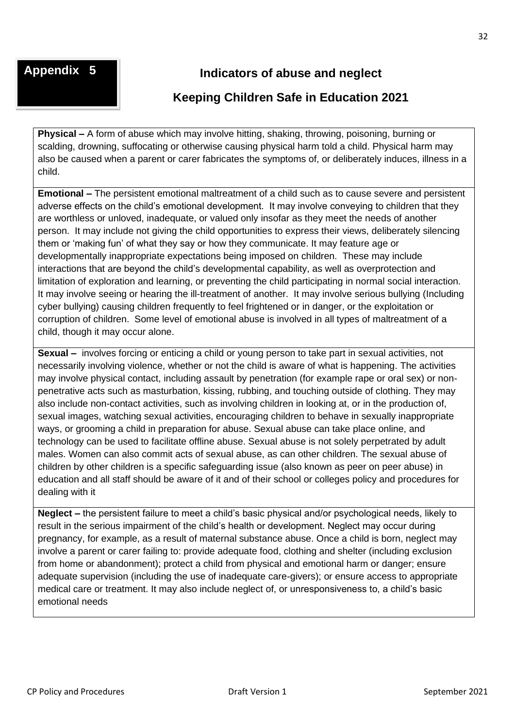# **Appendix 5 Indicators of abuse and neglect**

# **Keeping Children Safe in Education 2021**

**Physical –** A form of abuse which may involve hitting, shaking, throwing, poisoning, burning or scalding, drowning, suffocating or otherwise causing physical harm told a child. Physical harm may also be caused when a parent or carer fabricates the symptoms of, or deliberately induces, illness in a child.

**Emotional –** The persistent emotional maltreatment of a child such as to cause severe and persistent adverse effects on the child's emotional development. It may involve conveying to children that they are worthless or unloved, inadequate, or valued only insofar as they meet the needs of another person. It may include not giving the child opportunities to express their views, deliberately silencing them or 'making fun' of what they say or how they communicate. It may feature age or developmentally inappropriate expectations being imposed on children. These may include interactions that are beyond the child's developmental capability, as well as overprotection and limitation of exploration and learning, or preventing the child participating in normal social interaction. It may involve seeing or hearing the ill-treatment of another. It may involve serious bullying (Including cyber bullying) causing children frequently to feel frightened or in danger, or the exploitation or corruption of children. Some level of emotional abuse is involved in all types of maltreatment of a child, though it may occur alone.

**Sexual –** involves forcing or enticing a child or young person to take part in sexual activities, not necessarily involving violence, whether or not the child is aware of what is happening. The activities may involve physical contact, including assault by penetration (for example rape or oral sex) or nonpenetrative acts such as masturbation, kissing, rubbing, and touching outside of clothing. They may also include non-contact activities, such as involving children in looking at, or in the production of, sexual images, watching sexual activities, encouraging children to behave in sexually inappropriate ways, or grooming a child in preparation for abuse. Sexual abuse can take place online, and technology can be used to facilitate offline abuse. Sexual abuse is not solely perpetrated by adult males. Women can also commit acts of sexual abuse, as can other children. The sexual abuse of children by other children is a specific safeguarding issue (also known as peer on peer abuse) in education and all staff should be aware of it and of their school or colleges policy and procedures for dealing with it

**Neglect –** the persistent failure to meet a child's basic physical and/or psychological needs, likely to result in the serious impairment of the child's health or development. Neglect may occur during pregnancy, for example, as a result of maternal substance abuse. Once a child is born, neglect may involve a parent or carer failing to: provide adequate food, clothing and shelter (including exclusion from home or abandonment); protect a child from physical and emotional harm or danger; ensure adequate supervision (including the use of inadequate care-givers); or ensure access to appropriate medical care or treatment. It may also include neglect of, or unresponsiveness to, a child's basic emotional needs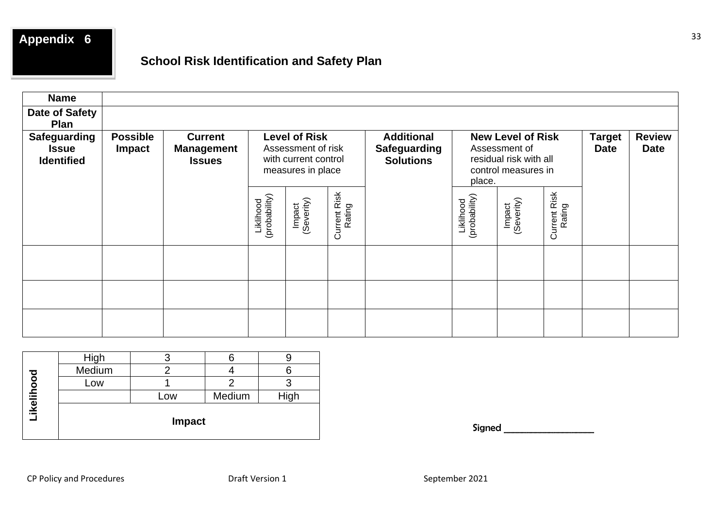# **Appendix 6**

# **School Risk Identification and Safety Plan**

| <b>Name</b><br>Date of Safety<br>Plan<br><b>Safeguarding</b><br><b>Issue</b><br><b>Identified</b> | <b>Possible</b><br><b>Impact</b> | <b>Current</b><br><b>Management</b><br><b>Issues</b> |                            | <b>Level of Risk</b><br>Assessment of risk<br>with current control<br>measures in place |                        | <b>Additional</b><br><b>Safeguarding</b><br><b>Solutions</b> | place.                     | <b>New Level of Risk</b><br>Assessment of<br>residual risk with all<br>control measures in |                        | <b>Target</b><br><b>Date</b> | <b>Review</b><br><b>Date</b> |
|---------------------------------------------------------------------------------------------------|----------------------------------|------------------------------------------------------|----------------------------|-----------------------------------------------------------------------------------------|------------------------|--------------------------------------------------------------|----------------------------|--------------------------------------------------------------------------------------------|------------------------|------------------------------|------------------------------|
|                                                                                                   |                                  |                                                      | Liklihood<br>(probability) | Impact<br>(Severity)                                                                    | Current Risk<br>Rating |                                                              | Liklihood<br>(probability) | Impact<br>(Severity)                                                                       | Current Risk<br>Rating |                              |                              |
|                                                                                                   |                                  |                                                      |                            |                                                                                         |                        |                                                              |                            |                                                                                            |                        |                              |                              |
|                                                                                                   |                                  |                                                      |                            |                                                                                         |                        |                                                              |                            |                                                                                            |                        |                              |                              |
|                                                                                                   |                                  |                                                      |                            |                                                                                         |                        |                                                              |                            |                                                                                            |                        |                              |                              |

|           | High   |               |        |      |
|-----------|--------|---------------|--------|------|
|           | Medium |               |        |      |
|           | _OW    |               |        |      |
| ikelihood |        | ∟ow           | Medium | High |
|           |        | <b>Impact</b> |        |      |

Signed \_\_\_\_\_\_\_\_\_\_\_\_\_\_\_\_\_\_\_\_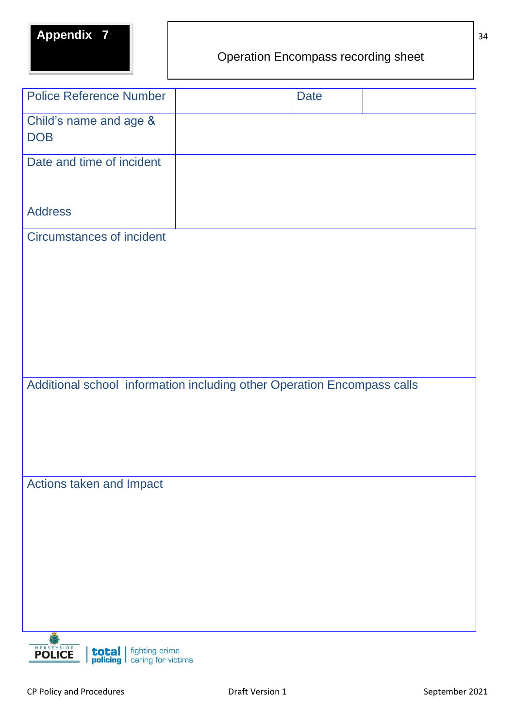| <b>Police Reference Number</b>                                          | <b>Date</b> |  |
|-------------------------------------------------------------------------|-------------|--|
| Child's name and age &<br><b>DOB</b>                                    |             |  |
| Date and time of incident                                               |             |  |
| <b>Address</b>                                                          |             |  |
| <b>Circumstances of incident</b>                                        |             |  |
|                                                                         |             |  |
|                                                                         |             |  |
|                                                                         |             |  |
|                                                                         |             |  |
|                                                                         |             |  |
|                                                                         |             |  |
| Additional school information including other Operation Encompass calls |             |  |
|                                                                         |             |  |
|                                                                         |             |  |
|                                                                         |             |  |
|                                                                         |             |  |
| Actions taken and Impact                                                |             |  |
|                                                                         |             |  |
|                                                                         |             |  |
|                                                                         |             |  |
|                                                                         |             |  |
|                                                                         |             |  |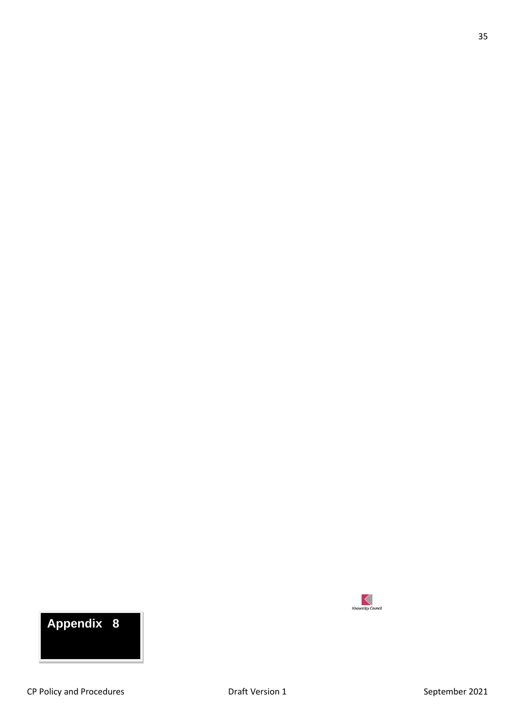

**Appendix 8**